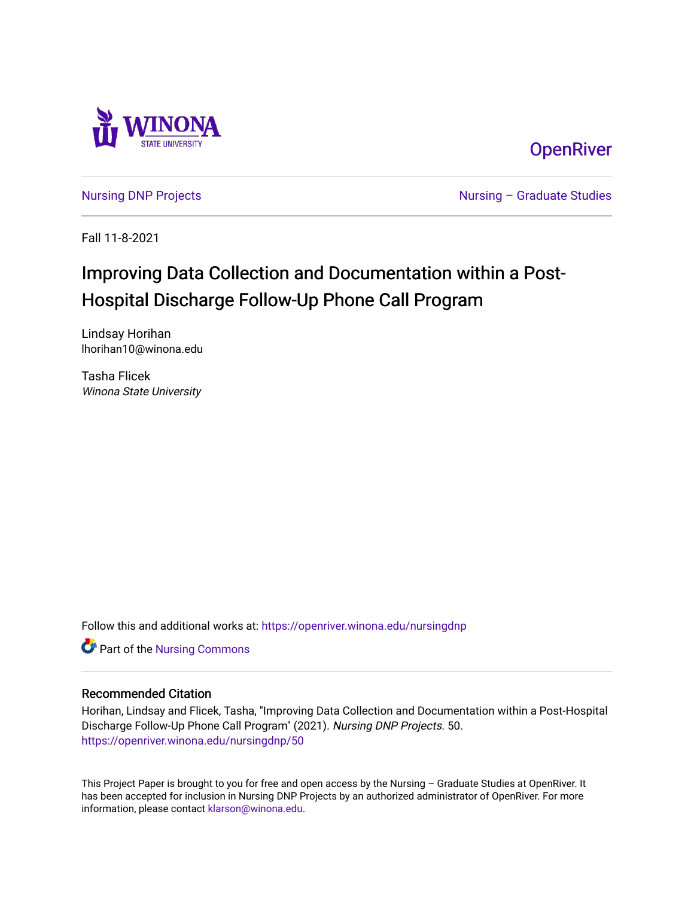

# **OpenRiver**

[Nursing DNP Projects](https://openriver.winona.edu/nursingdnp) **Nursing – Graduate Studies** 

Fall 11-8-2021

# Improving Data Collection and Documentation within a Post-Hospital Discharge Follow-Up Phone Call Program

Lindsay Horihan lhorihan10@winona.edu

Tasha Flicek Winona State University

Follow this and additional works at: [https://openriver.winona.edu/nursingdnp](https://openriver.winona.edu/nursingdnp?utm_source=openriver.winona.edu%2Fnursingdnp%2F50&utm_medium=PDF&utm_campaign=PDFCoverPages) 

Part of the [Nursing Commons](http://network.bepress.com/hgg/discipline/718?utm_source=openriver.winona.edu%2Fnursingdnp%2F50&utm_medium=PDF&utm_campaign=PDFCoverPages) 

#### Recommended Citation

Horihan, Lindsay and Flicek, Tasha, "Improving Data Collection and Documentation within a Post-Hospital Discharge Follow-Up Phone Call Program" (2021). Nursing DNP Projects. 50. [https://openriver.winona.edu/nursingdnp/50](https://openriver.winona.edu/nursingdnp/50?utm_source=openriver.winona.edu%2Fnursingdnp%2F50&utm_medium=PDF&utm_campaign=PDFCoverPages)

This Project Paper is brought to you for free and open access by the Nursing – Graduate Studies at OpenRiver. It has been accepted for inclusion in Nursing DNP Projects by an authorized administrator of OpenRiver. For more information, please contact [klarson@winona.edu](mailto:klarson@winona.edu).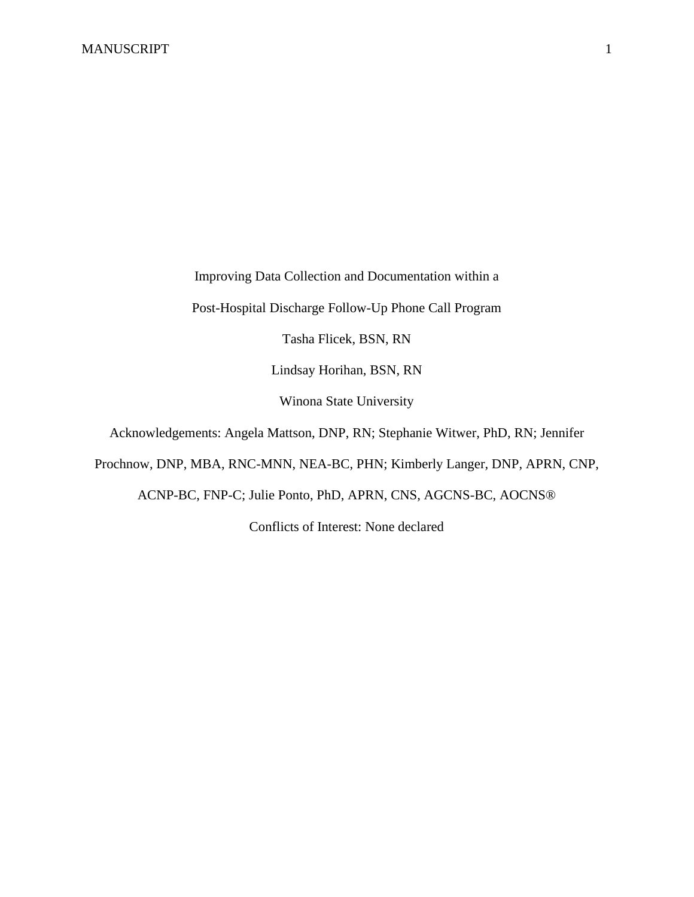Improving Data Collection and Documentation within a

Post-Hospital Discharge Follow-Up Phone Call Program

Tasha Flicek, BSN, RN

Lindsay Horihan, BSN, RN

Winona State University

Acknowledgements: Angela Mattson, DNP, RN; Stephanie Witwer, PhD, RN; Jennifer

Prochnow, DNP, MBA, RNC-MNN, NEA-BC, PHN; Kimberly Langer, DNP, APRN, CNP,

ACNP-BC, FNP-C; Julie Ponto, PhD, APRN, CNS, AGCNS-BC, AOCNS®

Conflicts of Interest: None declared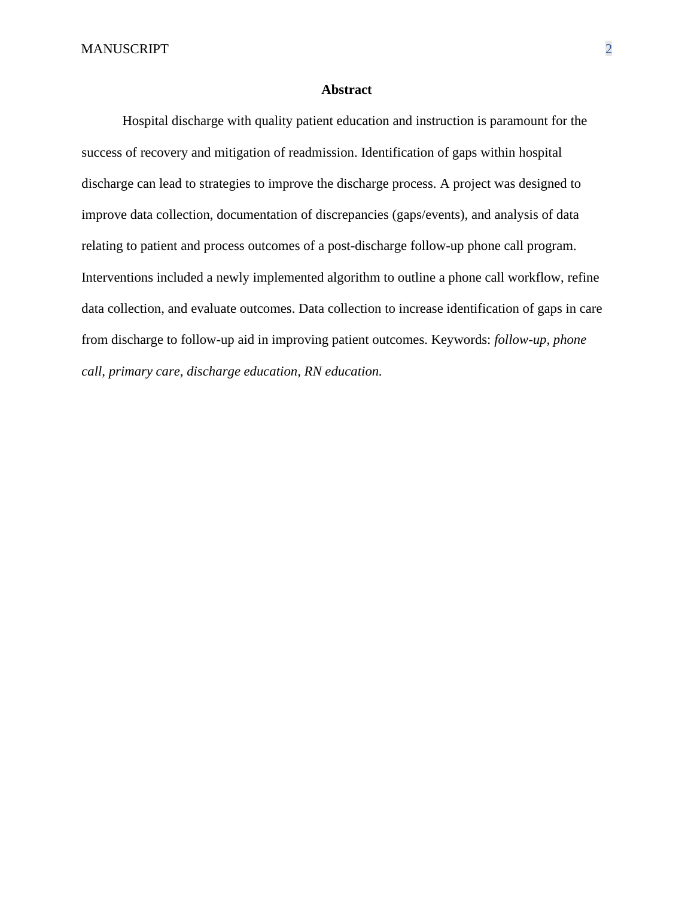#### **Abstract**

Hospital discharge with quality patient education and instruction is paramount for the success of recovery and mitigation of readmission. Identification of gaps within hospital discharge can lead to strategies to improve the discharge process. A project was designed to improve data collection, documentation of discrepancies (gaps/events), and analysis of data relating to patient and process outcomes of a post-discharge follow-up phone call program. Interventions included a newly implemented algorithm to outline a phone call workflow, refine data collection, and evaluate outcomes. Data collection to increase identification of gaps in care from discharge to follow-up aid in improving patient outcomes. Keywords: *follow-up, phone call, primary care, discharge education, RN education.*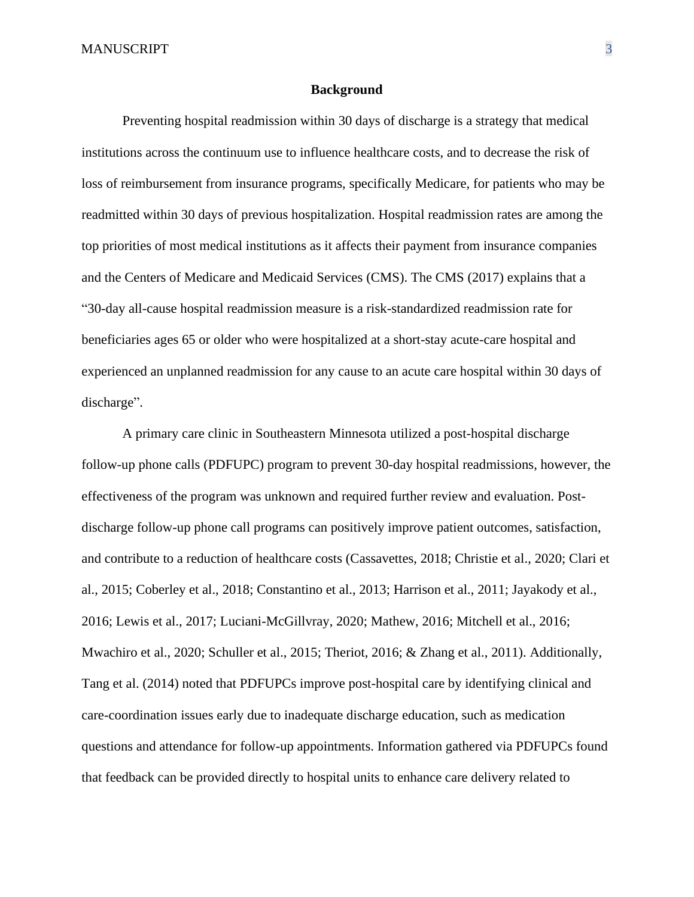#### **Background**

Preventing hospital readmission within 30 days of discharge is a strategy that medical institutions across the continuum use to influence healthcare costs, and to decrease the risk of loss of reimbursement from insurance programs, specifically Medicare, for patients who may be readmitted within 30 days of previous hospitalization. Hospital readmission rates are among the top priorities of most medical institutions as it affects their payment from insurance companies and the Centers of Medicare and Medicaid Services (CMS). The CMS (2017) explains that a "30-day all-cause hospital readmission measure is a risk-standardized readmission rate for beneficiaries ages 65 or older who were hospitalized at a short-stay acute-care hospital and experienced an unplanned readmission for any cause to an acute care hospital within 30 days of discharge".

A primary care clinic in Southeastern Minnesota utilized a post-hospital discharge follow-up phone calls (PDFUPC) program to prevent 30-day hospital readmissions, however, the effectiveness of the program was unknown and required further review and evaluation. Postdischarge follow-up phone call programs can positively improve patient outcomes, satisfaction, and contribute to a reduction of healthcare costs (Cassavettes, 2018; Christie et al., 2020; Clari et al., 2015; Coberley et al., 2018; Constantino et al., 2013; Harrison et al., 2011; Jayakody et al., 2016; Lewis et al., 2017; Luciani-McGillvray, 2020; Mathew, 2016; Mitchell et al., 2016; Mwachiro et al., 2020; Schuller et al., 2015; Theriot, 2016; & Zhang et al., 2011). Additionally, Tang et al. (2014) noted that PDFUPCs improve post-hospital care by identifying clinical and care-coordination issues early due to inadequate discharge education, such as medication questions and attendance for follow-up appointments. Information gathered via PDFUPCs found that feedback can be provided directly to hospital units to enhance care delivery related to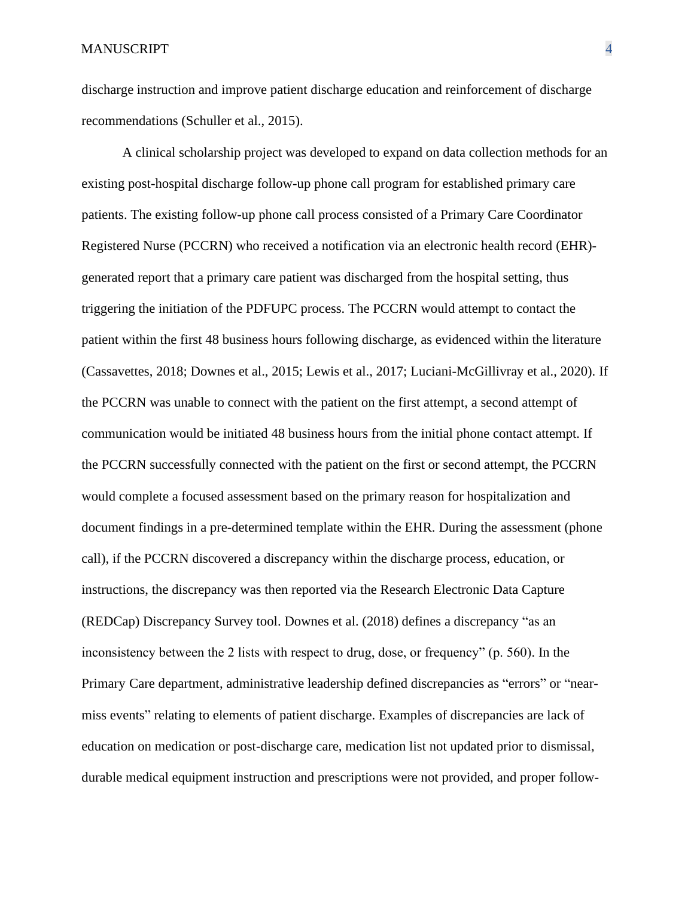discharge instruction and improve patient discharge education and reinforcement of discharge recommendations (Schuller et al., 2015).

A clinical scholarship project was developed to expand on data collection methods for an existing post-hospital discharge follow-up phone call program for established primary care patients. The existing follow-up phone call process consisted of a Primary Care Coordinator Registered Nurse (PCCRN) who received a notification via an electronic health record (EHR) generated report that a primary care patient was discharged from the hospital setting, thus triggering the initiation of the PDFUPC process. The PCCRN would attempt to contact the patient within the first 48 business hours following discharge, as evidenced within the literature (Cassavettes, 2018; Downes et al., 2015; Lewis et al., 2017; Luciani-McGillivray et al., 2020). If the PCCRN was unable to connect with the patient on the first attempt, a second attempt of communication would be initiated 48 business hours from the initial phone contact attempt. If the PCCRN successfully connected with the patient on the first or second attempt, the PCCRN would complete a focused assessment based on the primary reason for hospitalization and document findings in a pre-determined template within the EHR. During the assessment (phone call), if the PCCRN discovered a discrepancy within the discharge process, education, or instructions, the discrepancy was then reported via the Research Electronic Data Capture (REDCap) Discrepancy Survey tool. Downes et al. (2018) defines a discrepancy "as an inconsistency between the 2 lists with respect to drug, dose, or frequency" (p. 560). In the Primary Care department, administrative leadership defined discrepancies as "errors" or "nearmiss events" relating to elements of patient discharge. Examples of discrepancies are lack of education on medication or post-discharge care, medication list not updated prior to dismissal, durable medical equipment instruction and prescriptions were not provided, and proper follow-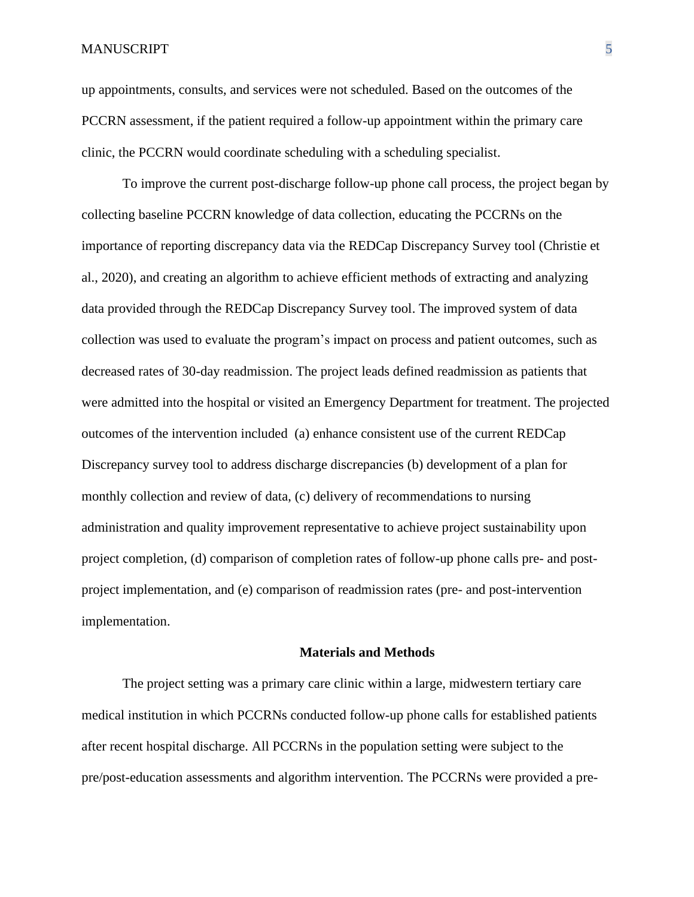up appointments, consults, and services were not scheduled. Based on the outcomes of the PCCRN assessment, if the patient required a follow-up appointment within the primary care clinic, the PCCRN would coordinate scheduling with a scheduling specialist.

To improve the current post-discharge follow-up phone call process, the project began by collecting baseline PCCRN knowledge of data collection, educating the PCCRNs on the importance of reporting discrepancy data via the REDCap Discrepancy Survey tool (Christie et al., 2020), and creating an algorithm to achieve efficient methods of extracting and analyzing data provided through the REDCap Discrepancy Survey tool. The improved system of data collection was used to evaluate the program's impact on process and patient outcomes, such as decreased rates of 30-day readmission. The project leads defined readmission as patients that were admitted into the hospital or visited an Emergency Department for treatment. The projected outcomes of the intervention included (a) enhance consistent use of the current REDCap Discrepancy survey tool to address discharge discrepancies (b) development of a plan for monthly collection and review of data, (c) delivery of recommendations to nursing administration and quality improvement representative to achieve project sustainability upon project completion, (d) comparison of completion rates of follow-up phone calls pre- and postproject implementation, and (e) comparison of readmission rates (pre- and post-intervention implementation.

#### **Materials and Methods**

The project setting was a primary care clinic within a large, midwestern tertiary care medical institution in which PCCRNs conducted follow-up phone calls for established patients after recent hospital discharge. All PCCRNs in the population setting were subject to the pre/post-education assessments and algorithm intervention. The PCCRNs were provided a pre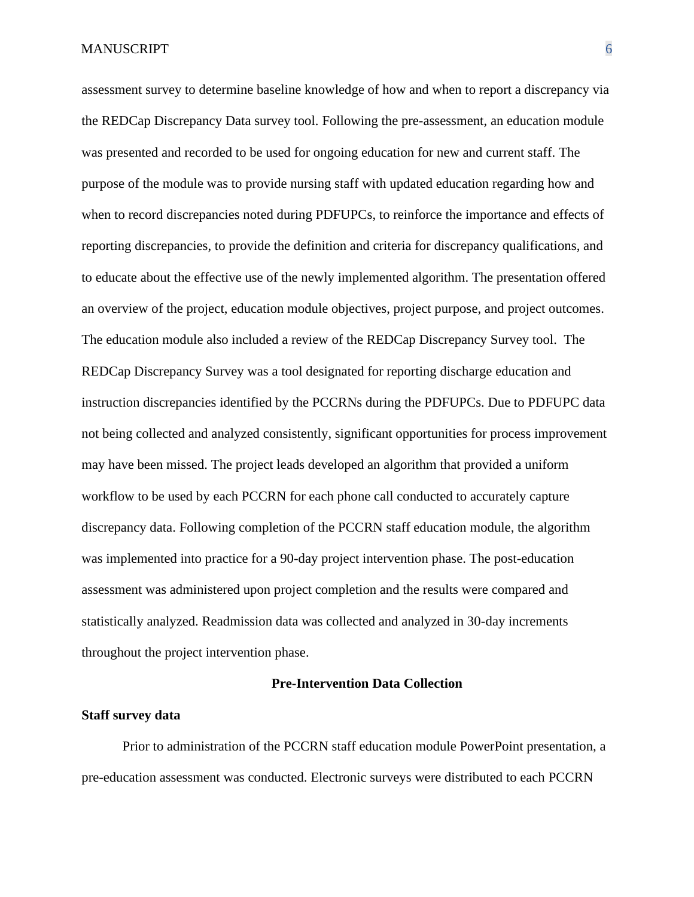assessment survey to determine baseline knowledge of how and when to report a discrepancy via the REDCap Discrepancy Data survey tool. Following the pre-assessment, an education module was presented and recorded to be used for ongoing education for new and current staff. The purpose of the module was to provide nursing staff with updated education regarding how and when to record discrepancies noted during PDFUPCs, to reinforce the importance and effects of reporting discrepancies, to provide the definition and criteria for discrepancy qualifications, and to educate about the effective use of the newly implemented algorithm. The presentation offered an overview of the project, education module objectives, project purpose, and project outcomes. The education module also included a review of the REDCap Discrepancy Survey tool. The REDCap Discrepancy Survey was a tool designated for reporting discharge education and instruction discrepancies identified by the PCCRNs during the PDFUPCs. Due to PDFUPC data not being collected and analyzed consistently, significant opportunities for process improvement may have been missed. The project leads developed an algorithm that provided a uniform workflow to be used by each PCCRN for each phone call conducted to accurately capture discrepancy data. Following completion of the PCCRN staff education module, the algorithm was implemented into practice for a 90-day project intervention phase. The post-education assessment was administered upon project completion and the results were compared and statistically analyzed. Readmission data was collected and analyzed in 30-day increments throughout the project intervention phase.

#### **Pre-Intervention Data Collection**

#### **Staff survey data**

Prior to administration of the PCCRN staff education module PowerPoint presentation, a pre-education assessment was conducted. Electronic surveys were distributed to each PCCRN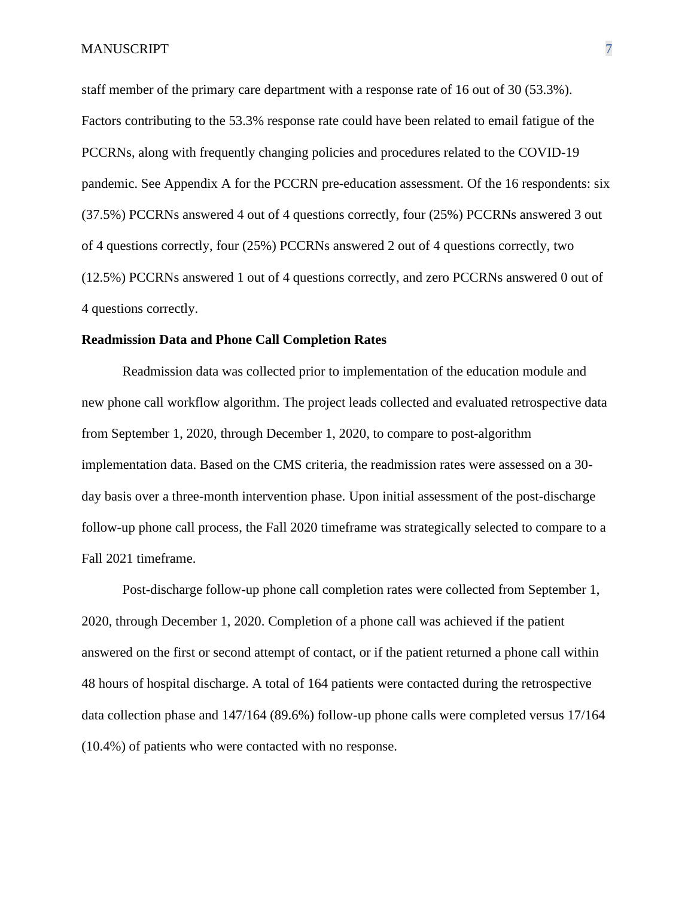staff member of the primary care department with a response rate of 16 out of 30 (53.3%). Factors contributing to the 53.3% response rate could have been related to email fatigue of the PCCRNs, along with frequently changing policies and procedures related to the COVID-19 pandemic. See Appendix A for the PCCRN pre-education assessment. Of the 16 respondents: six (37.5%) PCCRNs answered 4 out of 4 questions correctly, four (25%) PCCRNs answered 3 out of 4 questions correctly, four (25%) PCCRNs answered 2 out of 4 questions correctly, two (12.5%) PCCRNs answered 1 out of 4 questions correctly, and zero PCCRNs answered 0 out of 4 questions correctly.

#### **Readmission Data and Phone Call Completion Rates**

Readmission data was collected prior to implementation of the education module and new phone call workflow algorithm. The project leads collected and evaluated retrospective data from September 1, 2020, through December 1, 2020, to compare to post-algorithm implementation data. Based on the CMS criteria, the readmission rates were assessed on a 30 day basis over a three-month intervention phase. Upon initial assessment of the post-discharge follow-up phone call process, the Fall 2020 timeframe was strategically selected to compare to a Fall 2021 timeframe.

Post-discharge follow-up phone call completion rates were collected from September 1, 2020, through December 1, 2020. Completion of a phone call was achieved if the patient answered on the first or second attempt of contact, or if the patient returned a phone call within 48 hours of hospital discharge. A total of 164 patients were contacted during the retrospective data collection phase and 147/164 (89.6%) follow-up phone calls were completed versus 17/164 (10.4%) of patients who were contacted with no response.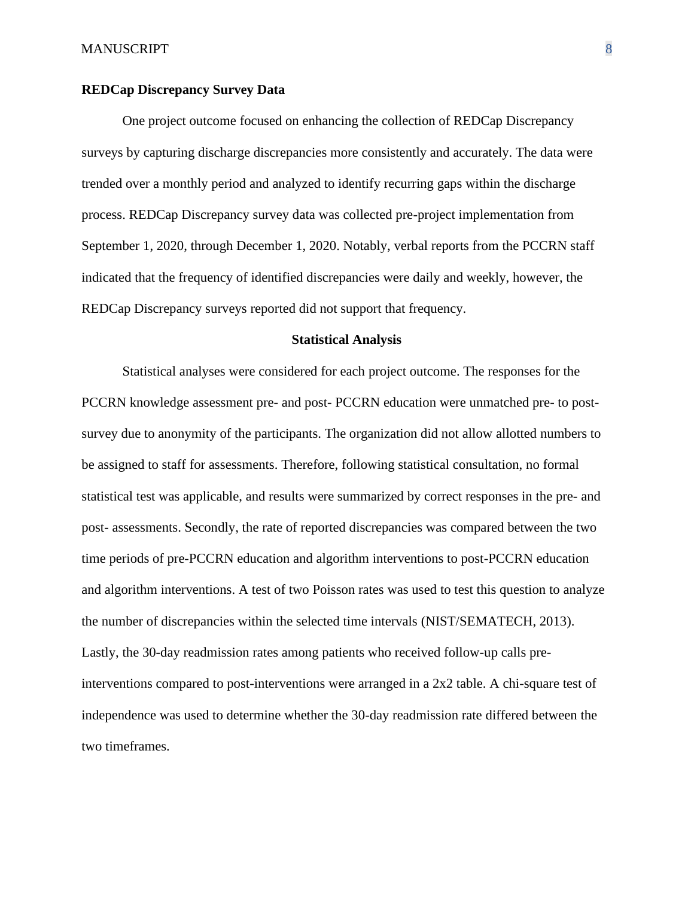#### **REDCap Discrepancy Survey Data**

One project outcome focused on enhancing the collection of REDCap Discrepancy surveys by capturing discharge discrepancies more consistently and accurately. The data were trended over a monthly period and analyzed to identify recurring gaps within the discharge process. REDCap Discrepancy survey data was collected pre-project implementation from September 1, 2020, through December 1, 2020. Notably, verbal reports from the PCCRN staff indicated that the frequency of identified discrepancies were daily and weekly, however, the REDCap Discrepancy surveys reported did not support that frequency.

#### **Statistical Analysis**

Statistical analyses were considered for each project outcome. The responses for the PCCRN knowledge assessment pre- and post- PCCRN education were unmatched pre- to postsurvey due to anonymity of the participants. The organization did not allow allotted numbers to be assigned to staff for assessments. Therefore, following statistical consultation, no formal statistical test was applicable, and results were summarized by correct responses in the pre- and post- assessments. Secondly, the rate of reported discrepancies was compared between the two time periods of pre-PCCRN education and algorithm interventions to post-PCCRN education and algorithm interventions. A test of two Poisson rates was used to test this question to analyze the number of discrepancies within the selected time intervals (NIST/SEMATECH, 2013). Lastly, the 30-day readmission rates among patients who received follow-up calls preinterventions compared to post-interventions were arranged in a 2x2 table. A chi-square test of independence was used to determine whether the 30-day readmission rate differed between the two timeframes.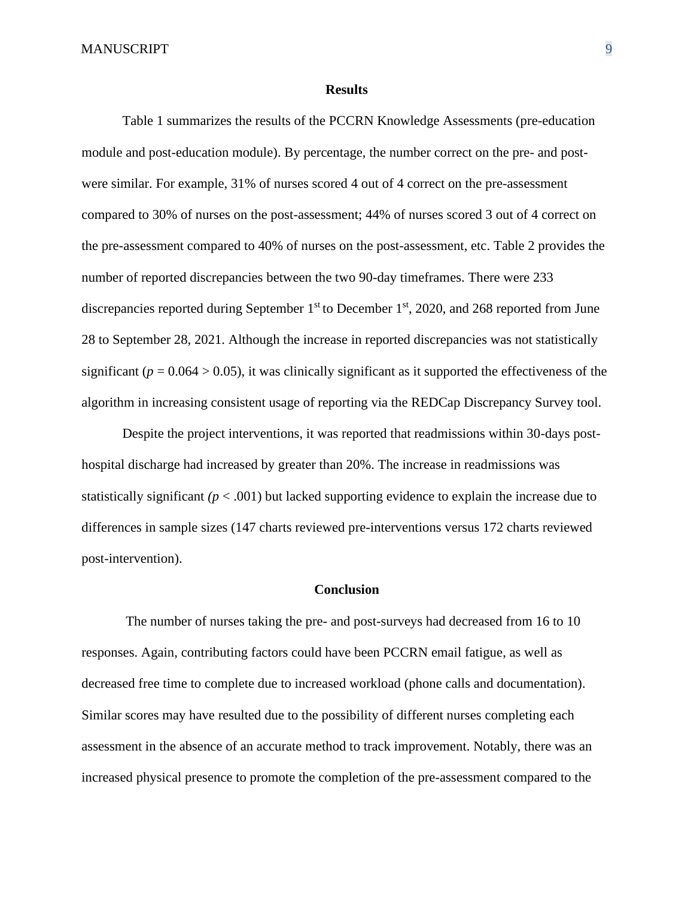#### **Results**

Table 1 summarizes the results of the PCCRN Knowledge Assessments (pre-education module and post-education module). By percentage, the number correct on the pre- and postwere similar. For example, 31% of nurses scored 4 out of 4 correct on the pre-assessment compared to 30% of nurses on the post-assessment; 44% of nurses scored 3 out of 4 correct on the pre-assessment compared to 40% of nurses on the post-assessment, etc. Table 2 provides the number of reported discrepancies between the two 90-day timeframes. There were 233 discrepancies reported during September 1<sup>st</sup> to December 1<sup>st</sup>, 2020, and 268 reported from June 28 to September 28, 2021. Although the increase in reported discrepancies was not statistically significant ( $p = 0.064 > 0.05$ ), it was clinically significant as it supported the effectiveness of the algorithm in increasing consistent usage of reporting via the REDCap Discrepancy Survey tool.

Despite the project interventions, it was reported that readmissions within 30-days posthospital discharge had increased by greater than 20%. The increase in readmissions was statistically significant  $(p < .001)$  but lacked supporting evidence to explain the increase due to differences in sample sizes (147 charts reviewed pre-interventions versus 172 charts reviewed post-intervention).

#### **Conclusion**

The number of nurses taking the pre- and post-surveys had decreased from 16 to 10 responses. Again, contributing factors could have been PCCRN email fatigue, as well as decreased free time to complete due to increased workload (phone calls and documentation). Similar scores may have resulted due to the possibility of different nurses completing each assessment in the absence of an accurate method to track improvement. Notably, there was an increased physical presence to promote the completion of the pre-assessment compared to the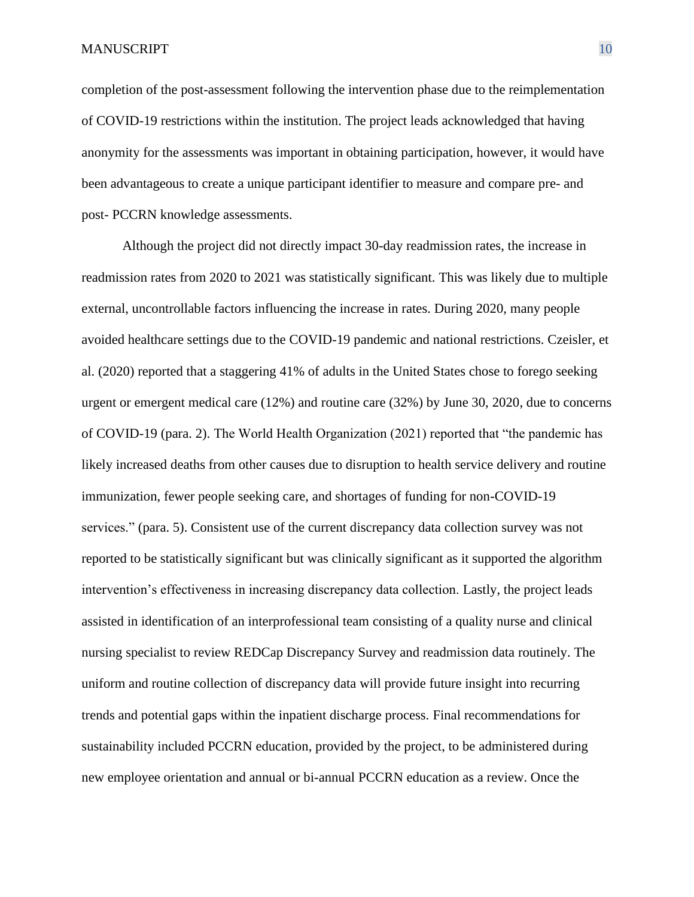completion of the post-assessment following the intervention phase due to the reimplementation of COVID-19 restrictions within the institution. The project leads acknowledged that having anonymity for the assessments was important in obtaining participation, however, it would have been advantageous to create a unique participant identifier to measure and compare pre- and post- PCCRN knowledge assessments.

Although the project did not directly impact 30-day readmission rates, the increase in readmission rates from 2020 to 2021 was statistically significant. This was likely due to multiple external, uncontrollable factors influencing the increase in rates. During 2020, many people avoided healthcare settings due to the COVID-19 pandemic and national restrictions. Czeisler, et al. (2020) reported that a staggering 41% of adults in the United States chose to forego seeking urgent or emergent medical care (12%) and routine care (32%) by June 30, 2020, due to concerns of COVID-19 (para. 2). The World Health Organization (2021) reported that "the pandemic has likely increased deaths from other causes due to disruption to health service delivery and routine immunization, fewer people seeking care, and shortages of funding for non-COVID-19 services." (para. 5). Consistent use of the current discrepancy data collection survey was not reported to be statistically significant but was clinically significant as it supported the algorithm intervention's effectiveness in increasing discrepancy data collection. Lastly, the project leads assisted in identification of an interprofessional team consisting of a quality nurse and clinical nursing specialist to review REDCap Discrepancy Survey and readmission data routinely. The uniform and routine collection of discrepancy data will provide future insight into recurring trends and potential gaps within the inpatient discharge process. Final recommendations for sustainability included PCCRN education, provided by the project, to be administered during new employee orientation and annual or bi-annual PCCRN education as a review. Once the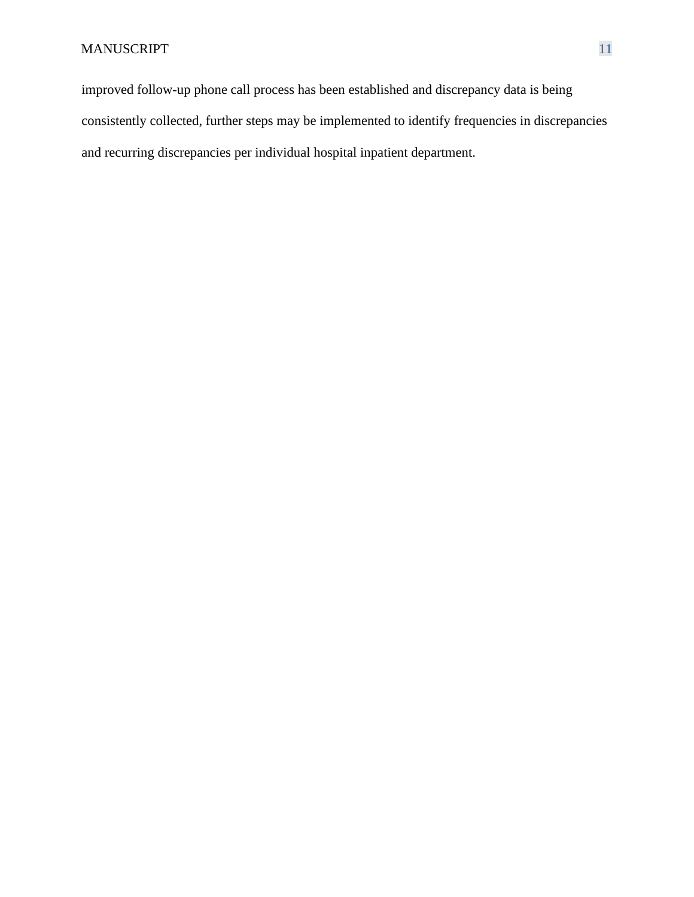improved follow-up phone call process has been established and discrepancy data is being consistently collected, further steps may be implemented to identify frequencies in discrepancies and recurring discrepancies per individual hospital inpatient department.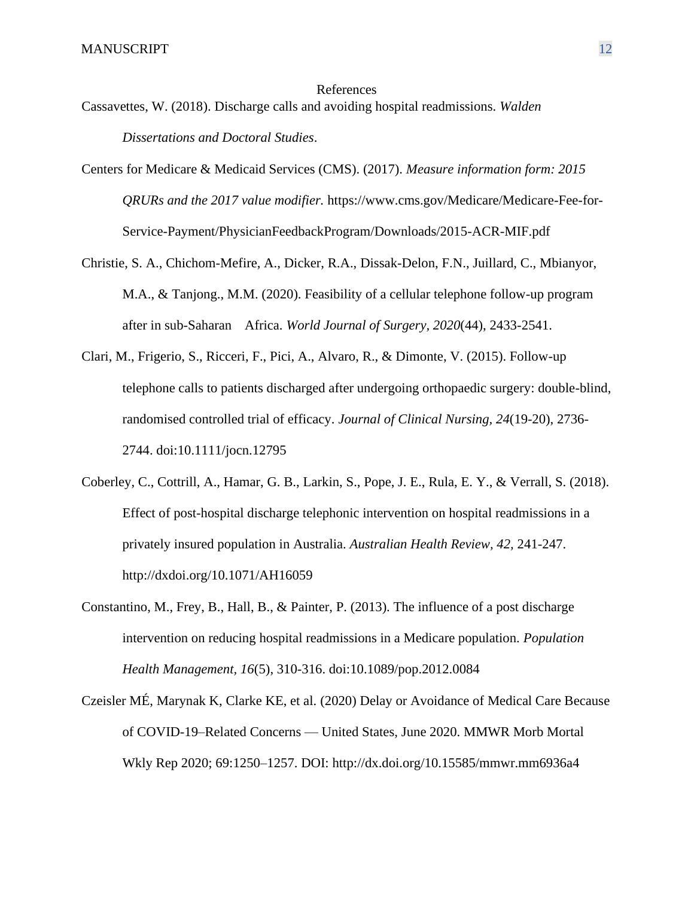#### References

Cassavettes, W. (2018). Discharge calls and avoiding hospital readmissions. *Walden Dissertations and Doctoral Studies*.

- Centers for Medicare & Medicaid Services (CMS). (2017). *Measure information form: 2015 QRURs and the 2017 value modifier.* [https://www.cms.gov/Medicare/Medicare-Fee-for-](https://www.cms.gov/Medicare/Medicare-Fee-for-Service-Payment/PhysicianFeedbackProgram/Downloads/2015-ACR-MIF.pdf)[Service-Payment/PhysicianFeedbackProgram/Downloads/2015-ACR-MIF.pdf](https://www.cms.gov/Medicare/Medicare-Fee-for-Service-Payment/PhysicianFeedbackProgram/Downloads/2015-ACR-MIF.pdf)
- Christie, S. A., Chichom-Mefire, A., Dicker, R.A., Dissak-Delon, F.N., Juillard, C., Mbianyor, M.A., & Tanjong., M.M. (2020). Feasibility of a cellular telephone follow-up program after in sub-Saharan Africa. *World Journal of Surgery, 2020*(44), 2433-2541.
- Clari, M., Frigerio, S., Ricceri, F., Pici, A., Alvaro, R., & Dimonte, V. (2015). Follow-up telephone calls to patients discharged after undergoing orthopaedic surgery: double-blind, randomised controlled trial of efficacy. *Journal of Clinical Nursing, 24*(19-20), 2736- 2744. doi:10.1111/jocn.12795
- Coberley, C., Cottrill, A., Hamar, G. B., Larkin, S., Pope, J. E., Rula, E. Y., & Verrall, S. (2018). Effect of post-hospital discharge telephonic intervention on hospital readmissions in a privately insured population in Australia. *Australian Health Review, 42,* 241-247. http://dxdoi.org/10.1071/AH16059
- Constantino, M., Frey, B., Hall, B., & Painter, P. (2013). The influence of a post discharge intervention on reducing hospital readmissions in a Medicare population. *Population Health Management, 16*(5), 310-316. doi:10.1089/pop.2012.0084
- Czeisler MÉ, Marynak K, Clarke KE, et al. (2020) Delay or Avoidance of Medical Care Because of COVID-19–Related Concerns — United States, June 2020. MMWR Morb Mortal Wkly Rep 2020; 69:1250–1257. DOI: <http://dx.doi.org/10.15585/mmwr.mm6936a4>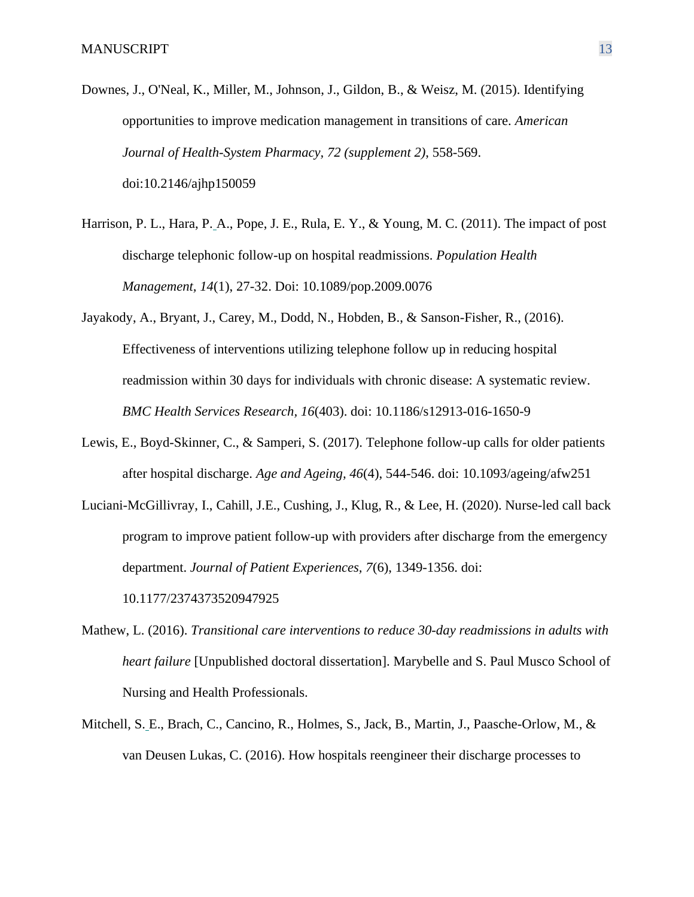- Downes, J., O'Neal, K., Miller, M., Johnson, J., Gildon, B., & Weisz, M. (2015). Identifying opportunities to improve medication management in transitions of care. *American Journal of Health-System Pharmacy, 72 (supplement 2)*, 558-569. doi:10.2146/ajhp150059
- Harrison, P. L., Hara, P. A., Pope, J. E., Rula, E. Y., & Young, M. C. (2011). The impact of post discharge telephonic follow-up on hospital readmissions. *Population Health Management, 14*(1), 27-32. Doi: 10.1089/pop.2009.0076
- Jayakody, A., Bryant, J., Carey, M., Dodd, N., Hobden, B., & Sanson-Fisher, R., (2016). Effectiveness of interventions utilizing telephone follow up in reducing hospital readmission within 30 days for individuals with chronic disease: A systematic review. *BMC Health Services Research, 16*(403). doi: 10.1186/s12913-016-1650-9
- Lewis, E., Boyd-Skinner, C., & Samperi, S. (2017). Telephone follow-up calls for older patients after hospital discharge. *Age and Ageing, 46*(4), 544-546. doi: 10.1093/ageing/afw251
- Luciani-McGillivray, I., Cahill, J.E., Cushing, J., Klug, R., & Lee, H. (2020). Nurse-led call back program to improve patient follow-up with providers after discharge from the emergency department. *Journal of Patient Experiences, 7*(6), 1349-1356. doi: 10.1177/2374373520947925
- Mathew, L. (2016). *Transitional care interventions to reduce 30-day readmissions in adults with heart failure* [Unpublished doctoral dissertation]. Marybelle and S. Paul Musco School of Nursing and Health Professionals.
- Mitchell, S. E., Brach, C., Cancino, R., Holmes, S., Jack, B., Martin, J., Paasche-Orlow, M., & van Deusen Lukas, C. (2016). How hospitals reengineer their discharge processes to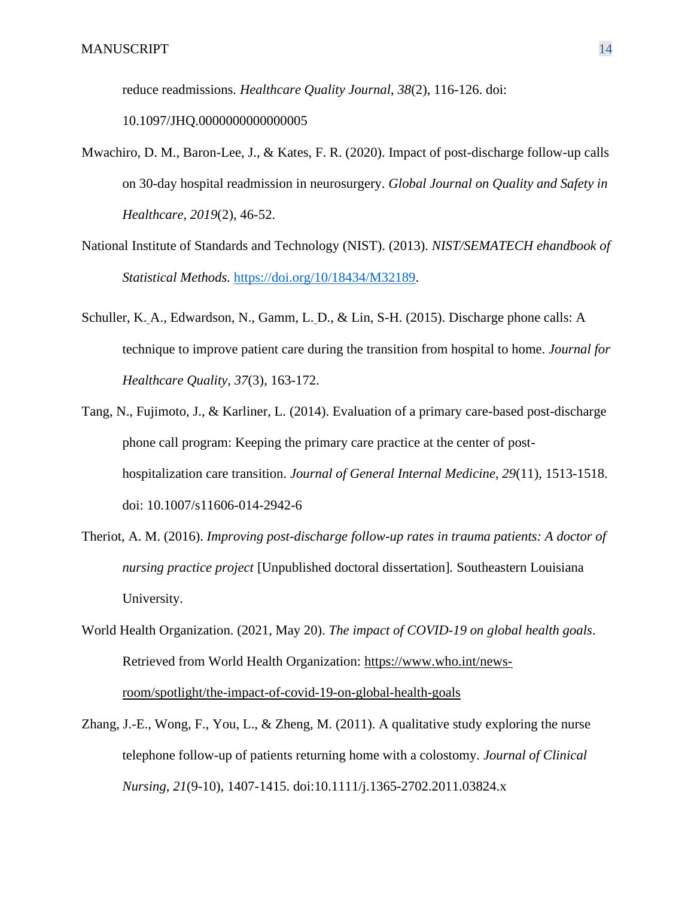reduce readmissions. *Healthcare Quality Journal, 38*(2), 116-126. doi:

10.1097/JHQ.0000000000000005

- Mwachiro, D. M., Baron-Lee, J., & Kates, F. R. (2020). Impact of post-discharge follow-up calls on 30-day hospital readmission in neurosurgery. *Global Journal on Quality and Safety in Healthcare, 2019*(2), 46-52.
- National Institute of Standards and Technology (NIST). (2013). *NIST/SEMATECH ehandbook of Statistical Methods.* [https://doi.org/10/18434/M32189.](https://doi.org/10/18434/M32189)
- Schuller, K. A., Edwardson, N., Gamm, L. D., & Lin, S-H. (2015). Discharge phone calls: A technique to improve patient care during the transition from hospital to home. *Journal for Healthcare Quality, 37*(3), 163-172.
- Tang, N., Fujimoto, J., & Karliner, L. (2014). Evaluation of a primary care-based post-discharge phone call program: Keeping the primary care practice at the center of posthospitalization care transition. *Journal of General Internal Medicine, 29*(11), 1513-1518. doi: 10.1007/s11606-014-2942-6
- Theriot, A. M. (2016). *Improving post-discharge follow-up rates in trauma patients: A doctor of nursing practice project* [Unpublished doctoral dissertation]*.* Southeastern Louisiana University.
- World Health Organization. (2021, May 20). *The impact of COVID-19 on global health goals*. Retrieved from World Health Organization: [https://www.who.int/news](https://www.who.int/news-room/spotlight/the-impact-of-covid-19-on-global-health-goals)[room/spotlight/the-impact-of-covid-19-on-global-health-goals](https://www.who.int/news-room/spotlight/the-impact-of-covid-19-on-global-health-goals)
- Zhang, J.-E., Wong, F., You, L., & Zheng, M. (2011). A qualitative study exploring the nurse telephone follow-up of patients returning home with a colostomy. *Journal of Clinical Nursing, 21*(9-10), 1407-1415. doi:10.1111/j.1365-2702.2011.03824.x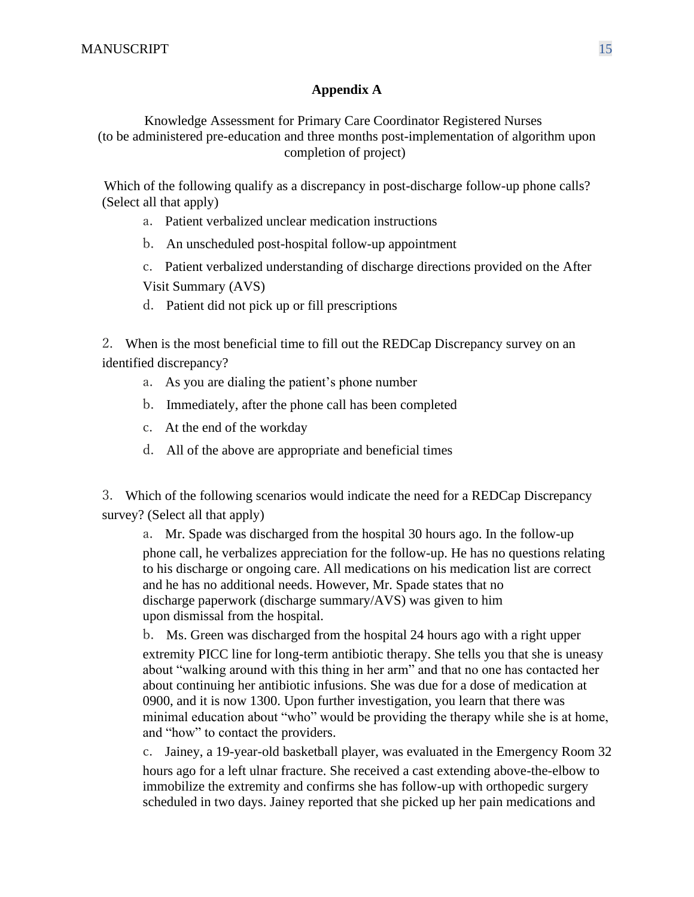### **Appendix A**

Knowledge Assessment for Primary Care Coordinator Registered Nurses (to be administered pre-education and three months post-implementation of algorithm upon completion of project)

Which of the following qualify as a discrepancy in post-discharge follow-up phone calls? (Select all that apply)

- a. Patient verbalized unclear medication instructions
- b. An unscheduled post-hospital follow-up appointment
- c. Patient verbalized understanding of discharge directions provided on the After Visit Summary (AVS)
- d. Patient did not pick up or fill prescriptions

2. When is the most beneficial time to fill out the REDCap Discrepancy survey on an identified discrepancy?

- a. As you are dialing the patient's phone number
- b. Immediately, after the phone call has been completed
- c. At the end of the workday
- d. All of the above are appropriate and beneficial times

3. Which of the following scenarios would indicate the need for a REDCap Discrepancy survey? (Select all that apply)

a. Mr. Spade was discharged from the hospital 30 hours ago. In the follow-up phone call, he verbalizes appreciation for the follow-up. He has no questions relating to his discharge or ongoing care. All medications on his medication list are correct and he has no additional needs. However, Mr. Spade states that no discharge paperwork (discharge summary/AVS) was given to him upon dismissal from the hospital.

b. Ms. Green was discharged from the hospital 24 hours ago with a right upper extremity PICC line for long-term antibiotic therapy. She tells you that she is uneasy about "walking around with this thing in her arm" and that no one has contacted her about continuing her antibiotic infusions. She was due for a dose of medication at 0900, and it is now 1300. Upon further investigation, you learn that there was minimal education about "who" would be providing the therapy while she is at home, and "how" to contact the providers.

c. Jainey, a 19-year-old basketball player, was evaluated in the Emergency Room 32 hours ago for a left ulnar fracture. She received a cast extending above-the-elbow to immobilize the extremity and confirms she has follow-up with orthopedic surgery scheduled in two days. Jainey reported that she picked up her pain medications and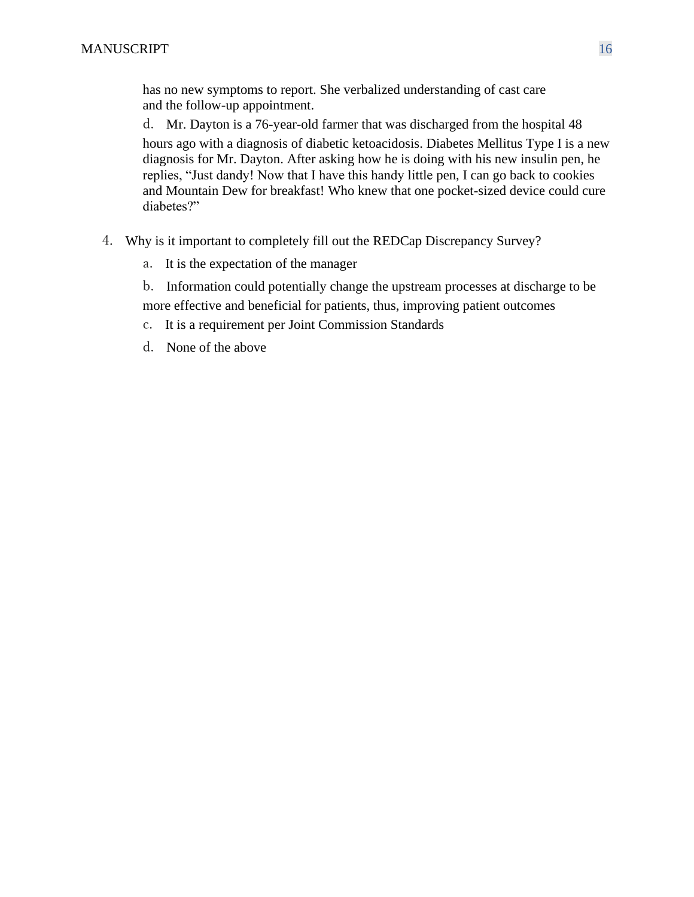has no new symptoms to report. She verbalized understanding of cast care and the follow-up appointment.

d. Mr. Dayton is a 76-year-old farmer that was discharged from the hospital 48 hours ago with a diagnosis of diabetic ketoacidosis. Diabetes Mellitus Type I is a new diagnosis for Mr. Dayton. After asking how he is doing with his new insulin pen, he replies, "Just dandy! Now that I have this handy little pen, I can go back to cookies and Mountain Dew for breakfast! Who knew that one pocket-sized device could cure diabetes?"

- 4. Why is it important to completely fill out the REDCap Discrepancy Survey?
	- a. It is the expectation of the manager
	- b. Information could potentially change the upstream processes at discharge to be more effective and beneficial for patients, thus, improving patient outcomes
	- c. It is a requirement per Joint Commission Standards
	- d. None of the above